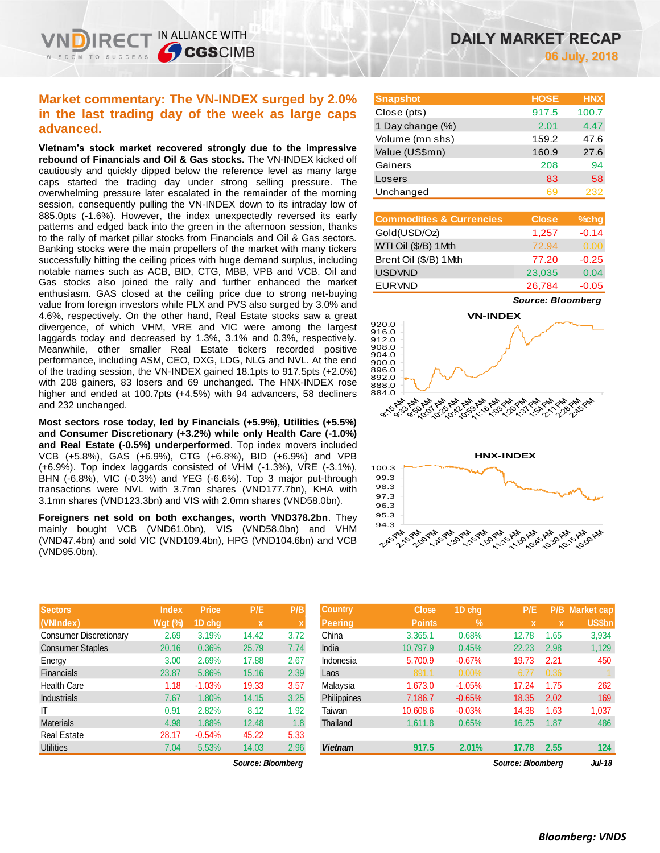# **Market commentary: The VN-INDEX surged by 2.0% in the last trading day of the week as large caps advanced.**

IN ALLIANCE WITH

**SCGSCIMB** 

REC<sup>-</sup>

**Vietnam's stock market recovered strongly due to the impressive rebound of Financials and Oil & Gas stocks.** The VN-INDEX kicked off cautiously and quickly dipped below the reference level as many large caps started the trading day under strong selling pressure. The overwhelming pressure later escalated in the remainder of the morning session, consequently pulling the VN-INDEX down to its intraday low of 885.0pts (-1.6%). However, the index unexpectedly reversed its early patterns and edged back into the green in the afternoon session, thanks to the rally of market pillar stocks from Financials and Oil & Gas sectors. Banking stocks were the main propellers of the market with many tickers successfully hitting the ceiling prices with huge demand surplus, including notable names such as ACB, BID, CTG, MBB, VPB and VCB. Oil and Gas stocks also joined the rally and further enhanced the market enthusiasm. GAS closed at the ceiling price due to strong net-buying value from foreign investors while PLX and PVS also surged by 3.0% and 4.6%, respectively. On the other hand, Real Estate stocks saw a great divergence, of which VHM, VRE and VIC were among the largest laggards today and decreased by 1.3%, 3.1% and 0.3%, respectively. Meanwhile, other smaller Real Estate tickers recorded positive performance, including ASM, CEO, DXG, LDG, NLG and NVL. At the end of the trading session, the VN-INDEX gained 18.1pts to 917.5pts (+2.0%) with 208 gainers, 83 losers and 69 unchanged. The HNX-INDEX rose higher and ended at 100.7pts (+4.5%) with 94 advancers, 58 decliners and 232 unchanged.

**Most sectors rose today, led by Financials (+5.9%), Utilities (+5.5%) and Consumer Discretionary (+3.2%) while only Health Care (-1.0%) and Real Estate (-0.5%) underperformed**. Top index movers included VCB (+5.8%), GAS (+6.9%), CTG (+6.8%), BID (+6.9%) and VPB (+6.9%). Top index laggards consisted of VHM (-1.3%), VRE (-3.1%), BHN (-6.8%), VIC (-0.3%) and YEG (-6.6%). Top 3 major put-through transactions were NVL with 3.7mn shares (VND177.7bn), KHA with 3.1mn shares (VND123.3bn) and VIS with 2.0mn shares (VND58.0bn).

**Foreigners net sold on both exchanges, worth VND378.2bn**. They mainly bought VCB (VND61.0bn), VIS (VND58.0bn) and VHM (VND47.4bn) and sold VIC (VND109.4bn), HPG (VND104.6bn) and VCB (VND95.0bn).

| <b>Sectors</b>                | <b>Index</b>   | <b>Price</b> | P/E         | P/B         |
|-------------------------------|----------------|--------------|-------------|-------------|
| (VNIndex)                     | <b>Wgt (%)</b> | 1D chg       | $\mathbf x$ | $\mathbf x$ |
| <b>Consumer Discretionary</b> | 2.69           | 3.19%        | 14.42       | 3.72        |
| <b>Consumer Staples</b>       | 20.16          | 0.36%        | 25.79       | 7.74        |
| Energy                        | 3.00           | 2.69%        | 17.88       | 2.67        |
| <b>Financials</b>             | 23.87          | 5.86%        | 15.16       | 2.39        |
| <b>Health Care</b>            | 1.18           | $-1.03%$     | 19.33       | 3.57        |
| <b>Industrials</b>            | 7.67           | 1.80%        | 14.15       | 3.25        |
| ΙT                            | 0.91           | 2.82%        | 8.12        | 1.92        |
| <b>Materials</b>              | 4.98           | 1.88%        | 12.48       | 1.8         |
| <b>Real Estate</b>            | 28.17          | $-0.54%$     | 45.22       | 5.33        |
| <b>Utilities</b>              | 7.04           | 5.53%        | 14.03       | 2.96        |

**VN-INDEX**





| <b>Sectors</b>         | <b>Index</b>   | <b>Price</b> | P/E               | P/B  | <b>Country</b>  | <b>Close</b>  | 1D chq   | P/E               |      | <b>P/B Market cap</b> |
|------------------------|----------------|--------------|-------------------|------|-----------------|---------------|----------|-------------------|------|-----------------------|
| (VNIndex)              | <b>Wgt (%)</b> | 1D cha       | $\mathbf x$       |      | <b>Peering</b>  | <b>Points</b> | $\%$     | x                 |      | US\$bn                |
| Consumer Discretionary | 2.69           | 3.19%        | 14.42             | 3.72 | China           | 3.365.1       | 0.68%    | 12.78             | 1.65 | 3,934                 |
| Consumer Staples       | 20.16          | 0.36%        | 25.79             | 7.74 | India           | 10.797.9      | 0.45%    | 22.23             | 2.98 | 1,129                 |
| Energy                 | 3.00           | 2.69%        | 17.88             | 2.67 | Indonesia       | 5,700.9       | $-0.67%$ | 19.73             | 2.21 | 450                   |
| Financials             | 23.87          | 5.86%        | 15.16             | 2.39 | Laos            | 891.1         | $0.00\%$ | 6.77              | 0.36 |                       |
| Health Care            | 1.18           | $-1.03%$     | 19.33             | 3.57 | Malaysia        | 1,673.0       | $-1.05%$ | 17.24             | 1.75 | 262                   |
| <b>Industrials</b>     | 7.67           | 1.80%        | 14.15             | 3.25 | Philippines     | 7,186.7       | $-0.65%$ | 18.35             | 2.02 | 169                   |
|                        | 0.91           | 2.82%        | 8.12              | 1.92 | Taiwan          | 10.608.6      | $-0.03%$ | 14.38             | 1.63 | 1,037                 |
| Materials              | 4.98           | 1.88%        | 12.48             | 1.8  | <b>Thailand</b> | 1.611.8       | 0.65%    | 16.25             | 1.87 | 486                   |
| Real Estate            | 28.17          | $-0.54%$     | 45.22             | 5.33 |                 |               |          |                   |      |                       |
| Utilities              | 7.04           | 5.53%        | 14.03             | 2.96 | <b>Vietnam</b>  | 917.5         | 2.01%    | 17.78             | 2.55 | 124                   |
|                        |                |              | Source: Bloomberg |      |                 |               |          | Source: Bloomberg |      | <b>Jul-18</b>         |

**DAILY MARKET RECAP 06 July, 2018**

*Source: Bloomberg*

**Snapshot HOSE HNX** Close (pts) 917.5 100.7 1 Day change (%) 2.01 4.47 Volume (mn shs) 159.2 47.6 Value (US\$mn) 160.9 27.6 Gainers 208 94 Losers 83 58 Unchanged 69 232

**Commodities & Currencies Close %chg** Gold(USD/Oz) 1,257 -0.14 WTI Oil (\$/B) 1Mth 72.94 0.00 Brent Oil (\$/B) 1Mth 77.20 -0.25 USDVND 23,035 0.04 EURVND 26,784 -0.05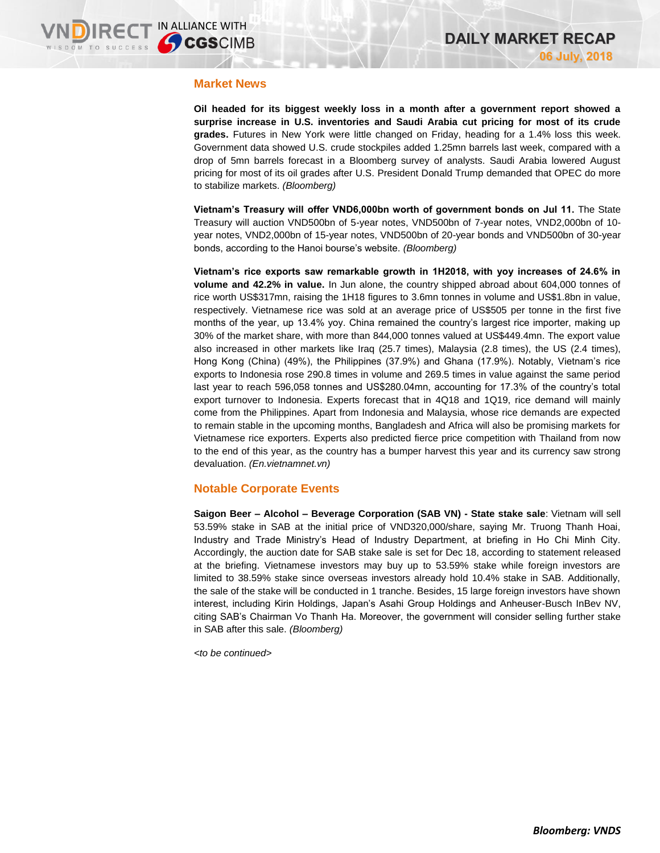## **Market News**

**Oil headed for its biggest weekly loss in a month after a government report showed a surprise increase in U.S. inventories and Saudi Arabia cut pricing for most of its crude grades.** Futures in New York were little changed on Friday, heading for a 1.4% loss this week. Government data showed U.S. crude stockpiles added 1.25mn barrels last week, compared with a drop of 5mn barrels forecast in a Bloomberg survey of analysts. Saudi Arabia lowered August pricing for most of its oil grades after U.S. President Donald Trump demanded that OPEC do more to stabilize markets. *(Bloomberg)*

**Vietnam's Treasury will offer VND6,000bn worth of government bonds on Jul 11.** The State Treasury will auction VND500bn of 5-year notes, VND500bn of 7-year notes, VND2,000bn of 10 year notes, VND2,000bn of 15-year notes, VND500bn of 20-year bonds and VND500bn of 30-year bonds, according to the Hanoi bourse's website. *(Bloomberg)*

**Vietnam's rice exports saw remarkable growth in 1H2018, with yoy increases of 24.6% in volume and 42.2% in value.** In Jun alone, the country shipped abroad about 604,000 tonnes of rice worth US\$317mn, raising the 1H18 figures to 3.6mn tonnes in volume and US\$1.8bn in value, respectively. Vietnamese rice was sold at an average price of US\$505 per tonne in the first five months of the year, up 13.4% yoy. China remained the country's largest rice importer, making up 30% of the market share, with more than 844,000 tonnes valued at US\$449.4mn. The export value also increased in other markets like Iraq (25.7 times), Malaysia (2.8 times), the US (2.4 times), Hong Kong (China) (49%), the Philippines (37.9%) and Ghana (17.9%). Notably, Vietnam's rice exports to Indonesia rose 290.8 times in volume and 269.5 times in value against the same period last year to reach 596,058 tonnes and US\$280.04mn, accounting for 17.3% of the country's total export turnover to Indonesia. Experts forecast that in 4Q18 and 1Q19, rice demand will mainly come from the Philippines. Apart from Indonesia and Malaysia, whose rice demands are expected to remain stable in the upcoming months, Bangladesh and Africa will also be promising markets for Vietnamese rice exporters. Experts also predicted fierce price competition with Thailand from now to the end of this year, as the country has a bumper harvest this year and its currency saw strong devaluation. *(En.vietnamnet.vn)*

## **Notable Corporate Events**

**Saigon Beer – Alcohol – Beverage Corporation (SAB VN) - State stake sale**: Vietnam will sell 53.59% stake in SAB at the initial price of VND320,000/share, saying Mr. Truong Thanh Hoai, Industry and Trade Ministry's Head of Industry Department, at briefing in Ho Chi Minh City. Accordingly, the auction date for SAB stake sale is set for Dec 18, according to statement released at the briefing. Vietnamese investors may buy up to 53.59% stake while foreign investors are limited to 38.59% stake since overseas investors already hold 10.4% stake in SAB. Additionally, the sale of the stake will be conducted in 1 tranche. Besides, 15 large foreign investors have shown interest, including Kirin Holdings, Japan's Asahi Group Holdings and Anheuser-Busch InBev NV, citing SAB's Chairman Vo Thanh Ha. Moreover, the government will consider selling further stake in SAB after this sale. *(Bloomberg)*

*<to be continued>*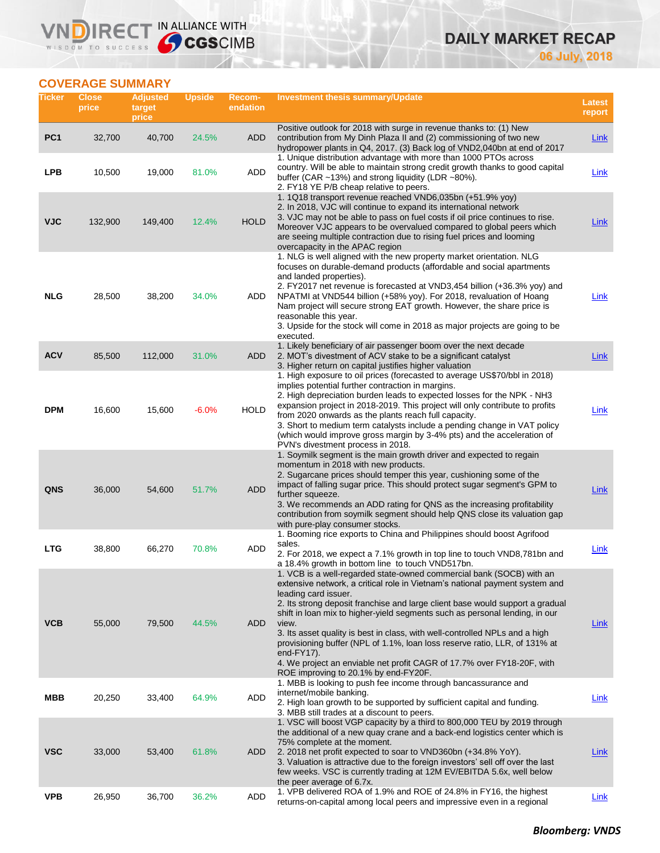# **DAILY MARKET RECAP 06 July, 2018**

# **COVERAGE SUMMARY**

WISDOM TO SUCCESS

VND

IRECT IN ALLIANCE WITH

| Ticker          | Close<br>price | <b>Adjusted</b><br>target<br>price | <b>Upside</b> | <b>Recom-</b><br>endation | <b>Investment thesis summary/Update</b>                                                                                                                                                                                                                                                                                                                                                                                                                                                                                                                                                                                                              | Latest<br>report |
|-----------------|----------------|------------------------------------|---------------|---------------------------|------------------------------------------------------------------------------------------------------------------------------------------------------------------------------------------------------------------------------------------------------------------------------------------------------------------------------------------------------------------------------------------------------------------------------------------------------------------------------------------------------------------------------------------------------------------------------------------------------------------------------------------------------|------------------|
| PC <sub>1</sub> | 32,700         | 40,700                             | 24.5%         | ADD                       | Positive outlook for 2018 with surge in revenue thanks to: (1) New<br>contribution from My Dinh Plaza II and (2) commissioning of two new<br>hydropower plants in Q4, 2017. (3) Back log of VND2,040bn at end of 2017                                                                                                                                                                                                                                                                                                                                                                                                                                | <b>Link</b>      |
| <b>LPB</b>      | 10,500         | 19,000                             | 81.0%         | <b>ADD</b>                | 1. Unique distribution advantage with more than 1000 PTOs across<br>country. Will be able to maintain strong credit growth thanks to good capital<br>buffer (CAR ~13%) and strong liquidity (LDR ~80%).<br>2. FY18 YE P/B cheap relative to peers.                                                                                                                                                                                                                                                                                                                                                                                                   | Link             |
| <b>VJC</b>      | 132,900        | 149,400                            | 12.4%         | <b>HOLD</b>               | 1. 1Q18 transport revenue reached VND6,035bn (+51.9% yoy)<br>2. In 2018, VJC will continue to expand its international network<br>3. VJC may not be able to pass on fuel costs if oil price continues to rise.<br>Moreover VJC appears to be overvalued compared to global peers which<br>are seeing multiple contraction due to rising fuel prices and looming<br>overcapacity in the APAC region                                                                                                                                                                                                                                                   | <b>Link</b>      |
| <b>NLG</b>      | 28,500         | 38,200                             | 34.0%         | ADD                       | 1. NLG is well aligned with the new property market orientation. NLG<br>focuses on durable-demand products (affordable and social apartments<br>and landed properties).<br>2. FY2017 net revenue is forecasted at VND3,454 billion (+36.3% yoy) and<br>NPATMI at VND544 billion (+58% yoy). For 2018, revaluation of Hoang<br>Nam project will secure strong EAT growth. However, the share price is<br>reasonable this year.<br>3. Upside for the stock will come in 2018 as major projects are going to be<br>executed.                                                                                                                            | <b>Link</b>      |
| <b>ACV</b>      | 85,500         | 112,000                            | 31.0%         | ADD                       | 1. Likely beneficiary of air passenger boom over the next decade<br>2. MOT's divestment of ACV stake to be a significant catalyst<br>3. Higher return on capital justifies higher valuation                                                                                                                                                                                                                                                                                                                                                                                                                                                          | <b>Link</b>      |
| <b>DPM</b>      | 16,600         | 15,600                             | $-6.0%$       | <b>HOLD</b>               | 1. High exposure to oil prices (forecasted to average US\$70/bbl in 2018)<br>implies potential further contraction in margins.<br>2. High depreciation burden leads to expected losses for the NPK - NH3<br>expansion project in 2018-2019. This project will only contribute to profits<br>from 2020 onwards as the plants reach full capacity.<br>3. Short to medium term catalysts include a pending change in VAT policy<br>(which would improve gross margin by 3-4% pts) and the acceleration of<br>PVN's divestment process in 2018.                                                                                                          | <b>Link</b>      |
| QNS             | 36,000         | 54,600                             | 51.7%         | <b>ADD</b>                | 1. Soymilk segment is the main growth driver and expected to regain<br>momentum in 2018 with new products.<br>2. Sugarcane prices should temper this year, cushioning some of the<br>impact of falling sugar price. This should protect sugar segment's GPM to<br>further squeeze.<br>3. We recommends an ADD rating for QNS as the increasing profitability<br>contribution from soymilk segment should help QNS close its valuation gap<br>with pure-play consumer stocks.                                                                                                                                                                         | <b>Link</b>      |
| <b>LTG</b>      | 38,800         | 66,270                             | 70.8%         | ADD                       | 1. Booming rice exports to China and Philippines should boost Agrifood<br>sales.<br>2. For 2018, we expect a 7.1% growth in top line to touch VND8,781bn and<br>a 18.4% growth in bottom line to touch VND517bn.                                                                                                                                                                                                                                                                                                                                                                                                                                     | Link             |
| <b>VCB</b>      | 55,000         | 79,500                             | 44.5%         | <b>ADD</b>                | 1. VCB is a well-regarded state-owned commercial bank (SOCB) with an<br>extensive network, a critical role in Vietnam's national payment system and<br>leading card issuer.<br>2. Its strong deposit franchise and large client base would support a gradual<br>shift in loan mix to higher-yield segments such as personal lending, in our<br>view.<br>3. Its asset quality is best in class, with well-controlled NPLs and a high<br>provisioning buffer (NPL of 1.1%, loan loss reserve ratio, LLR, of 131% at<br>$end-FY17$ ).<br>4. We project an enviable net profit CAGR of 17.7% over FY18-20F, with<br>ROE improving to 20.1% by end-FY20F. | Link             |
| <b>MBB</b>      | 20,250         | 33,400                             | 64.9%         | ADD                       | 1. MBB is looking to push fee income through bancassurance and<br>internet/mobile banking.<br>2. High loan growth to be supported by sufficient capital and funding.<br>3. MBB still trades at a discount to peers.                                                                                                                                                                                                                                                                                                                                                                                                                                  | Link             |
| <b>VSC</b>      | 33,000         | 53,400                             | 61.8%         | ADD                       | 1. VSC will boost VGP capacity by a third to 800,000 TEU by 2019 through<br>the additional of a new quay crane and a back-end logistics center which is<br>75% complete at the moment.<br>2. 2018 net profit expected to soar to VND360bn (+34.8% YoY).<br>3. Valuation is attractive due to the foreign investors' sell off over the last<br>few weeks. VSC is currently trading at 12M EV/EBITDA 5.6x, well below<br>the peer average of 6.7x.                                                                                                                                                                                                     | <b>Link</b>      |
| <b>VPB</b>      | 26,950         | 36,700                             | 36.2%         | <b>ADD</b>                | 1. VPB delivered ROA of 1.9% and ROE of 24.8% in FY16, the highest<br>returns-on-capital among local peers and impressive even in a regional                                                                                                                                                                                                                                                                                                                                                                                                                                                                                                         | <b>Link</b>      |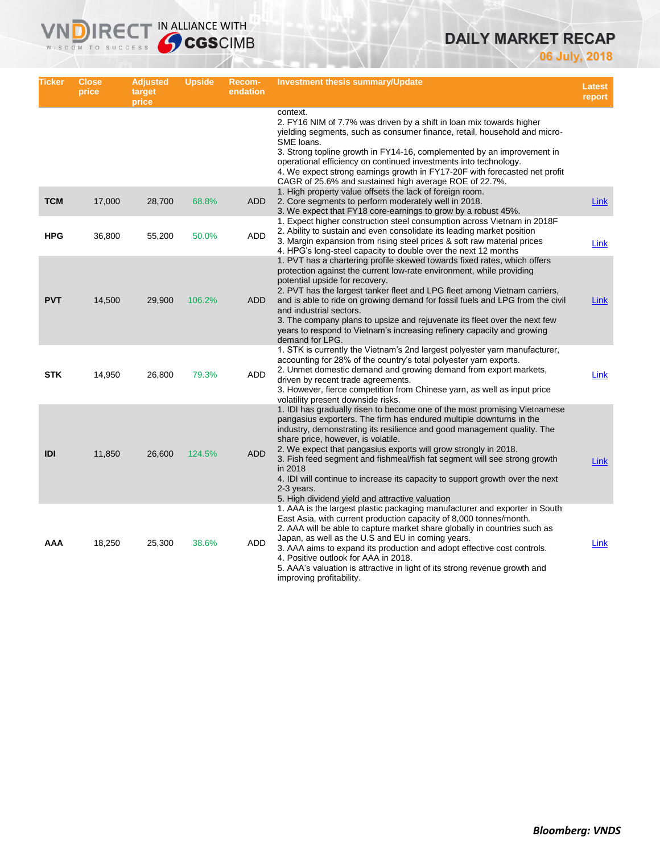# **DAILY MARKET RECAP**

**06 July, 2018**

| Ticker     | <b>Close</b><br>price | Adjusted<br>target<br>price | <b>Upside</b> | <b>Recom-</b><br>endation | Investment thesis summary/Update                                                                                                                                                                                                                                                                                                                                                                                                                                                                                                                                               | <b>Latest</b><br>report |
|------------|-----------------------|-----------------------------|---------------|---------------------------|--------------------------------------------------------------------------------------------------------------------------------------------------------------------------------------------------------------------------------------------------------------------------------------------------------------------------------------------------------------------------------------------------------------------------------------------------------------------------------------------------------------------------------------------------------------------------------|-------------------------|
|            |                       |                             |               |                           | context.<br>2. FY16 NIM of 7.7% was driven by a shift in loan mix towards higher<br>yielding segments, such as consumer finance, retail, household and micro-<br>SME loans.<br>3. Strong topline growth in FY14-16, complemented by an improvement in<br>operational efficiency on continued investments into technology.<br>4. We expect strong earnings growth in FY17-20F with forecasted net profit<br>CAGR of 25.6% and sustained high average ROE of 22.7%.                                                                                                              |                         |
| <b>TCM</b> | 17,000                | 28,700                      | 68.8%         | ADD                       | 1. High property value offsets the lack of foreign room.<br>2. Core segments to perform moderately well in 2018.<br>3. We expect that FY18 core-earnings to grow by a robust 45%.                                                                                                                                                                                                                                                                                                                                                                                              | Link                    |
| <b>HPG</b> | 36,800                | 55,200                      | 50.0%         | ADD                       | 1. Expect higher construction steel consumption across Vietnam in 2018F<br>2. Ability to sustain and even consolidate its leading market position<br>3. Margin expansion from rising steel prices & soft raw material prices<br>4. HPG's long-steel capacity to double over the next 12 months                                                                                                                                                                                                                                                                                 | Link                    |
| <b>PVT</b> | 14,500                | 29,900                      | 106.2%        | ADD                       | 1. PVT has a chartering profile skewed towards fixed rates, which offers<br>protection against the current low-rate environment, while providing<br>potential upside for recovery.<br>2. PVT has the largest tanker fleet and LPG fleet among Vietnam carriers,<br>and is able to ride on growing demand for fossil fuels and LPG from the civil<br>and industrial sectors.<br>3. The company plans to upsize and rejuvenate its fleet over the next few<br>years to respond to Vietnam's increasing refinery capacity and growing<br>demand for LPG.                          | Link                    |
| <b>STK</b> | 14,950                | 26,800                      | 79.3%         | ADD                       | 1. STK is currently the Vietnam's 2nd largest polyester yarn manufacturer,<br>accounting for 28% of the country's total polyester yarn exports.<br>2. Unmet domestic demand and growing demand from export markets,<br>driven by recent trade agreements.<br>3. However, fierce competition from Chinese yarn, as well as input price<br>volatility present downside risks.                                                                                                                                                                                                    | Link                    |
| IDI        | 11,850                | 26,600                      | 124.5%        | <b>ADD</b>                | 1. IDI has gradually risen to become one of the most promising Vietnamese<br>pangasius exporters. The firm has endured multiple downturns in the<br>industry, demonstrating its resilience and good management quality. The<br>share price, however, is volatile.<br>2. We expect that pangasius exports will grow strongly in 2018.<br>3. Fish feed segment and fishmeal/fish fat segment will see strong growth<br>in 2018<br>4. IDI will continue to increase its capacity to support growth over the next<br>2-3 years.<br>5. High dividend yield and attractive valuation | Link                    |
| AAA        | 18,250                | 25,300                      | 38.6%         | ADD                       | 1. AAA is the largest plastic packaging manufacturer and exporter in South<br>East Asia, with current production capacity of 8,000 tonnes/month.<br>2. AAA will be able to capture market share globally in countries such as<br>Japan, as well as the U.S and EU in coming years.<br>3. AAA aims to expand its production and adopt effective cost controls.<br>4. Positive outlook for AAA in 2018.<br>5. AAA's valuation is attractive in light of its strong revenue growth and<br>improving profitability.                                                                | Link                    |

**VNDIRECT IN ALLIANCE WITH**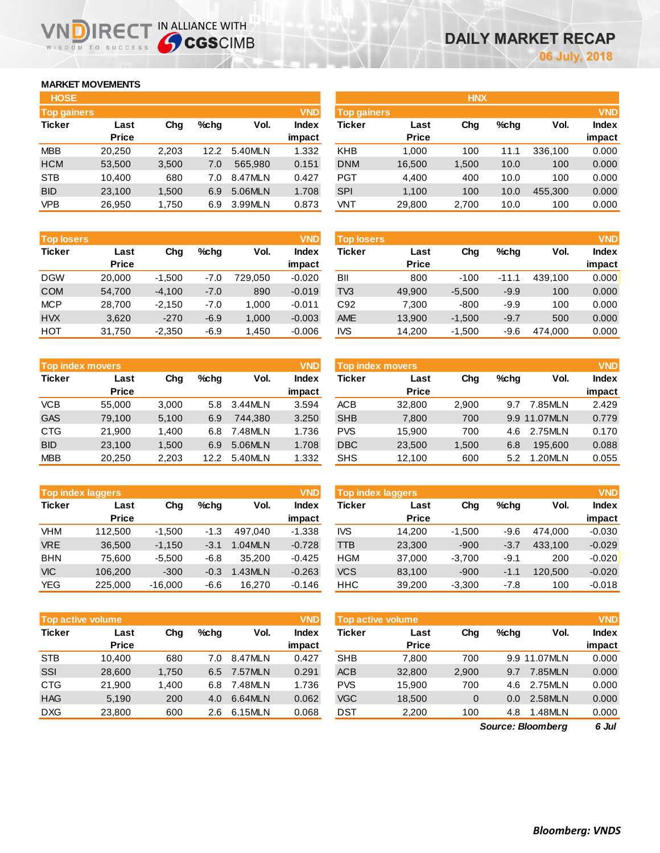# **MARKET MOVEMENTS**

IR<sub>E</sub> WISDOM TO SUCCESS

| <b>HOSE</b>        |              |       |      |         |              |
|--------------------|--------------|-------|------|---------|--------------|
| <b>Top gainers</b> |              |       |      |         | <b>VND</b>   |
| <b>Ticker</b>      | Last         | Cha   | %chq | Vol.    | <b>Index</b> |
|                    | <b>Price</b> |       |      |         | impact       |
| <b>MBB</b>         | 20,250       | 2,203 | 12.2 | 5.40MLN | 1.332        |
| <b>HCM</b>         | 53,500       | 3,500 | 7.0  | 565.980 | 0.151        |
| <b>STB</b>         | 10,400       | 680   | 7.0  | 8.47MLN | 0.427        |
| <b>BID</b>         | 23,100       | 1,500 | 6.9  | 5.06MLN | 1.708        |
| VPB                | 26,950       | 1,750 | 6.9  | 3.99MLN | 0.873        |

IN ALLIANCE WITH

| <b>HOSE</b>        |              |       |         |         |              |                    |              | <b>HNX</b> |         |         |              |
|--------------------|--------------|-------|---------|---------|--------------|--------------------|--------------|------------|---------|---------|--------------|
| <b>Top gainers</b> |              |       |         |         | <b>VND</b>   | <b>Top gainers</b> |              |            |         |         | <b>VND</b>   |
| Ticker             | Last         | Chg   | $%$ chq | Vol.    | <b>Index</b> | Ticker             | Last         | Chg        | $%$ chq | Vol.    | <b>Index</b> |
|                    | <b>Price</b> |       |         |         | impact       |                    | <b>Price</b> |            |         |         | impact       |
| MBB                | 20.250       | 2,203 | 12.2    | 5.40MLN | 1.332        | <b>KHB</b>         | 1.000        | 100        | 11.1    | 336.100 | 0.000        |
| <b>HCM</b>         | 53,500       | 3,500 | 7.0     | 565.980 | 0.151        | <b>DNM</b>         | 16,500       | 1,500      | 10.0    | 100     | 0.000        |
| <b>STB</b>         | 10.400       | 680   | 7.0     | 8.47MLN | 0.427        | <b>PGT</b>         | 4,400        | 400        | 10.0    | 100     | 0.000        |
| <b>BID</b>         | 23,100       | 1,500 | 6.9     | 5.06MLN | 1.708        | <b>SPI</b>         | 1,100        | 100        | 10.0    | 455,300 | 0.000        |
| <b>VPB</b>         | 26,950       | 1,750 | 6.9     | 3.99MLN | 0.873        | VNT                | 29,800       | 2,700      | 10.0    | 100     | 0.000        |
|                    |              |       |         |         |              |                    |              |            |         |         |              |

| <b>Top losers</b> |              |          |        |         | <b>VND</b>   |
|-------------------|--------------|----------|--------|---------|--------------|
| <b>Ticker</b>     | Last         | Cha      | %chq   | Vol.    | <b>Index</b> |
|                   | <b>Price</b> |          |        |         | impact       |
| <b>DGW</b>        | 20,000       | $-1,500$ | $-7.0$ | 729.050 | $-0.020$     |
| <b>COM</b>        | 54,700       | $-4,100$ | $-7.0$ | 890     | $-0.019$     |
| <b>MCP</b>        | 28,700       | $-2,150$ | $-7.0$ | 1,000   | $-0.011$     |
| <b>HVX</b>        | 3.620        | $-270$   | $-6.9$ | 1,000   | $-0.003$     |
| HOT               | 31,750       | $-2,350$ | $-6.9$ | 1,450   | $-0.006$     |

|               | <b>Top index movers</b> |       |         |         | <b>VND</b>   |
|---------------|-------------------------|-------|---------|---------|--------------|
| <b>Ticker</b> | Last                    | Cha   | $%$ chq | Vol.    | <b>Index</b> |
|               | <b>Price</b>            |       |         |         | impact       |
| <b>VCB</b>    | 55,000                  | 3,000 | 5.8     | 3.44MLN | 3.594        |
| <b>GAS</b>    | 79,100                  | 5,100 | 6.9     | 744.380 | 3.250        |
| <b>CTG</b>    | 21,900                  | 1,400 | 6.8     | 7.48MLN | 1.736        |
| <b>BID</b>    | 23,100                  | 1,500 | 6.9     | 5.06MLN | 1.708        |
| <b>MBB</b>    | 20,250                  | 2,203 | 12.2    | 5.40MLN | 1.332        |

|               | <b>VND</b><br><b>Top index laggers</b> |           |        |         |              |  |  |  |  |  |  |  |
|---------------|----------------------------------------|-----------|--------|---------|--------------|--|--|--|--|--|--|--|
| <b>Ticker</b> | Last                                   | Cha       | %chq   | Vol.    | <b>Index</b> |  |  |  |  |  |  |  |
|               | <b>Price</b>                           |           |        |         | impact       |  |  |  |  |  |  |  |
| <b>VHM</b>    | 112,500                                | $-1,500$  | $-1.3$ | 497.040 | $-1.338$     |  |  |  |  |  |  |  |
| <b>VRE</b>    | 36,500                                 | $-1,150$  | $-3.1$ | 1.04MLN | $-0.728$     |  |  |  |  |  |  |  |
| <b>BHN</b>    | 75.600                                 | $-5,500$  | $-6.8$ | 35.200  | $-0.425$     |  |  |  |  |  |  |  |
| <b>VIC</b>    | 106,200                                | $-300$    | $-0.3$ | 1.43MLN | $-0.263$     |  |  |  |  |  |  |  |
| YEG           | 225,000                                | $-16,000$ | $-6.6$ | 16.270  | $-0.146$     |  |  |  |  |  |  |  |

| <b>VND</b><br><b>Top active volume</b> |       |         |         |              |  |  |  |  |  |  |
|----------------------------------------|-------|---------|---------|--------------|--|--|--|--|--|--|
| Last                                   | Cha   | $%$ chq | Vol.    | <b>Index</b> |  |  |  |  |  |  |
| <b>Price</b>                           |       |         |         | impact       |  |  |  |  |  |  |
| 10,400                                 | 680   | 7.0     | 8.47MLN | 0.427        |  |  |  |  |  |  |
| 28,600                                 | 1,750 | 6.5     | 7.57MLN | 0.291        |  |  |  |  |  |  |
| 21,900                                 | 1,400 | 6.8     | 7.48MLN | 1.736        |  |  |  |  |  |  |
| 5,190                                  | 200   | 4.0     | 6.64MLN | 0.062        |  |  |  |  |  |  |
| 23,800                                 | 600   | 2.6     | 6.15MLN | 0.068        |  |  |  |  |  |  |
|                                        |       |         |         |              |  |  |  |  |  |  |

| <b>VND</b><br><b>Top losers</b> |                      |          |         |         |                 | <b>Top losers</b> |                      |          |         |         | <b>VND</b>             |
|---------------------------------|----------------------|----------|---------|---------|-----------------|-------------------|----------------------|----------|---------|---------|------------------------|
| Ticker                          | Last<br><b>Price</b> | Chg      | $%$ chq | Vol.    | Index<br>impact | Ticker            | Last<br><b>Price</b> | Chg      | $%$ chq | Vol.    | <b>Index</b><br>impact |
| <b>DGW</b>                      | 20,000               | $-1,500$ | -7.0    | 729.050 | $-0.020$        | BII               | 800                  | $-100$   | $-11.1$ | 439.100 | 0.000                  |
| <b>COM</b>                      | 54,700               | $-4,100$ | $-7.0$  | 890     | $-0.019$        | TV <sub>3</sub>   | 49,900               | $-5,500$ | $-9.9$  | 100     | 0.000                  |
| <b>MCP</b>                      | 28,700               | $-2.150$ | $-7.0$  | .000    | $-0.011$        | C92               | 7,300                | $-800$   | $-9.9$  | 100     | 0.000                  |
| <b>HVX</b>                      | 3,620                | $-270$   | $-6.9$  | 1,000   | $-0.003$        | <b>AME</b>        | 13,900               | $-1.500$ | $-9.7$  | 500     | 0.000                  |
| нот                             | 31,750               | $-2,350$ | $-6.9$  | 1,450   | $-0.006$        | <b>IVS</b>        | 14,200               | $-1,500$ | -9.6    | 474.000 | 0.000                  |

| <b>Top index movers</b> |                      |       |         |         | <b>VND</b>      | Top index movers |                      |        |         |              |                        |
|-------------------------|----------------------|-------|---------|---------|-----------------|------------------|----------------------|--------|---------|--------------|------------------------|
| Ticker                  | Last<br><b>Price</b> | Chg   | $%$ chq | Vol.    | Index<br>impact | Ticker           | Last<br><b>Price</b> | Chg    | $%$ chq | Vol.         | <b>Index</b><br>impact |
| VCB                     | 55,000               | 3,000 | 5.8     | 3.44MLN | 3.594           | <b>ACB</b>       | 32,800               | 2,900  | 9.7     | 7.85MLN      | 2.429                  |
| GAS                     | 79,100               | 5,100 | 6.9     | 744.380 | 3.250           | <b>SHB</b>       | 7,800                | 700    |         | 9.9 11.07MLN | 0.779                  |
| CTG                     | 21.900               | 1.400 | 6.8     | 7.48MLN | 1.736           | <b>PVS</b>       | 15.900               | 700    | 4.6     | 2.75MLN      | 0.170                  |
| <b>BID</b>              | 23,100               | 1,500 | 6.9     | 5.06MLN | 1.708           | <b>DBC</b>       | 23,500               | 500. ا | 6.8     | 195,600      | 0.088                  |
| <b>MBB</b>              | 20,250               | 2,203 | 12.2    | 5.40MLN | 1.332           | <b>SHS</b>       | 12,100               | 600    | 5.2     | 1.20MLN      | 0.055                  |

| <b>Top index laggers</b> |                      |           |        |         | <b>VND</b>      | <b>VND</b><br><b>Top index laggers</b> |                      |          |         |         |                        |  |  |
|--------------------------|----------------------|-----------|--------|---------|-----------------|----------------------------------------|----------------------|----------|---------|---------|------------------------|--|--|
| Ticker                   | Last<br><b>Price</b> | Chg       | %chq   | Vol.    | Index<br>impact | Ticker                                 | Last<br><b>Price</b> | Chg      | $%$ chq | Vol.    | <b>Index</b><br>impact |  |  |
| VHM                      | 112,500              | $-1,500$  | $-1.3$ | 497.040 | $-1.338$        | <b>IVS</b>                             | 14.200               | $-1.500$ | -9.6    | 474.000 | $-0.030$               |  |  |
| <b>VRE</b>               | 36.500               | $-1,150$  | -3.1   | 1.04MLN | $-0.728$        | TTB                                    | 23,300               | $-900$   | $-3.7$  | 433.100 | $-0.029$               |  |  |
| <b>BHN</b>               | 75.600               | $-5.500$  | -6.8   | 35.200  | $-0.425$        | <b>HGM</b>                             | 37.000               | $-3.700$ | $-9.1$  | 200     | $-0.020$               |  |  |
| <b>VIC</b>               | 106.200              | $-300$    | $-0.3$ | .43MLN  | $-0.263$        | <b>VCS</b>                             | 83,100               | $-900$   | $-1.1$  | 120,500 | $-0.020$               |  |  |
| YEG                      | 225,000              | $-16,000$ | -6.6   | 16,270  | $-0.146$        | <b>HHC</b>                             | 39,200               | $-3,300$ | $-7.8$  | 100     | $-0.018$               |  |  |

| <b>Index</b> |
|--------------|
| impact       |
| 0.000        |
| 0.000        |
| 0.000        |
| 0.000        |
| 0.000        |
|              |

*6 Jul Source: Bloomberg*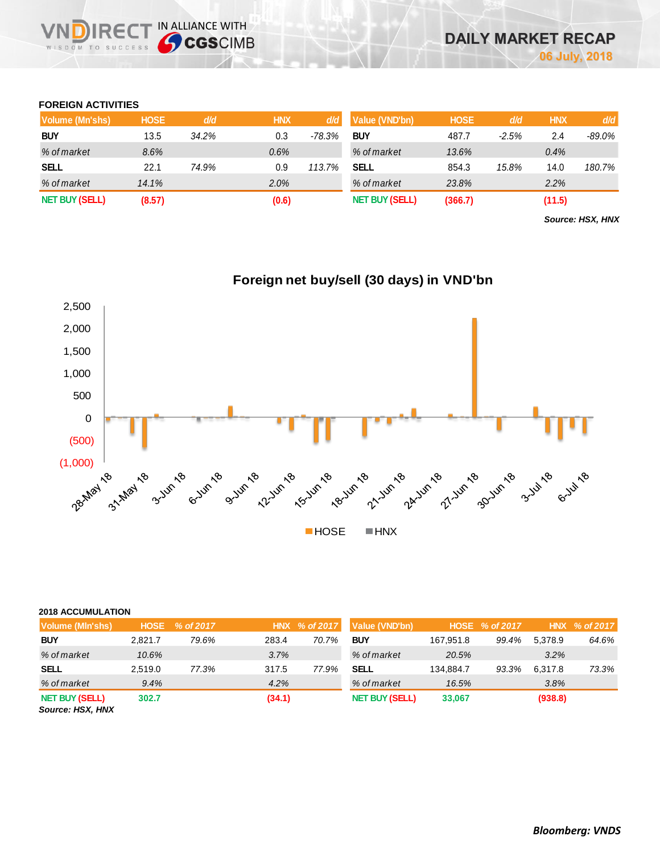## **FOREIGN ACTIVITIES**

WISDOM TO SUCCESS

**IRECT IN ALLIANCE WITH** 

| Volume (Mn'shs)       | <b>HOSE</b> | d/d   | <b>HNX</b> | d/d      | Value (VND'bn)        | <b>HOSE</b> | d/d     | <b>HNX</b> | d/d    |
|-----------------------|-------------|-------|------------|----------|-----------------------|-------------|---------|------------|--------|
| <b>BUY</b>            | 13.5        | 34.2% | 0.3        | $-78.3%$ | <b>BUY</b>            | 487.7       | $-2.5%$ | 2.4        | -89.0% |
| % of market           | 8.6%        |       | 0.6%       |          | % of market           | 13.6%       |         | 0.4%       |        |
| <b>SELL</b>           | 22.1        | 74.9% | 0.9        | 113.7%   | SELL                  | 854.3       | 15.8%   | 14.0       | 180.7% |
| % of market           | 14.1%       |       | 2.0%       |          | % of market           | 23.8%       |         | 2.2%       |        |
| <b>NET BUY (SELL)</b> | (8.57)      |       | (0.6)      |          | <b>NET BUY (SELL)</b> | (366.7)     |         | (11.5)     |        |

*Source: HSX, HNX*



# **Foreign net buy/sell (30 days) in VND'bn**

### **2018 ACCUMULATION**

| Volume (MIn'shs)                          | <b>HOSE</b> | % of 2017 |        | HNX % of 2017 | Value (VND'bn)        |           | HOSE % of 2017 |         | HNX % of 2017 |
|-------------------------------------------|-------------|-----------|--------|---------------|-----------------------|-----------|----------------|---------|---------------|
| <b>BUY</b>                                | 2.821.7     | 79.6%     | 283.4  | 70.7%         | <b>BUY</b>            | 167.951.8 | 99.4%          | 5.378.9 | 64.6%         |
| % of market                               | 10.6%       |           | 3.7%   |               | % of market           | 20.5%     |                | 3.2%    |               |
| <b>SELL</b>                               | 2.519.0     | 77.3%     | 317.5  | 77.9%         | SELL                  | 134.884.7 | 93.3%          | 6.317.8 | 73.3%         |
| % of market                               | 9.4%        |           | 4.2%   |               | % of market           | 16.5%     |                | 3.8%    |               |
| <b>NET BUY (SELL)</b><br>Source: HSX, HNX | 302.7       |           | (34.1) |               | <b>NET BUY (SELL)</b> | 33,067    |                | (938.8) |               |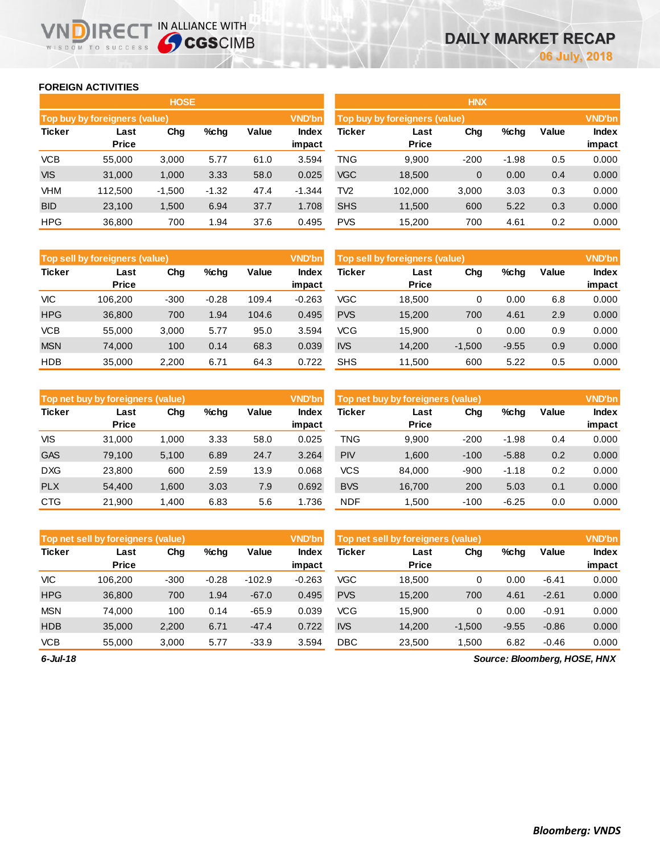## **FOREIGN ACTIVITIES**

WISDOM TO SUCCESS

VIN

**IRECT IN ALLIANCE WITH** 

|               |                                                 | <b>HOSE</b> |         |      |                                                | <b>HNX</b> |         |                        |         |     |       |  |  |
|---------------|-------------------------------------------------|-------------|---------|------|------------------------------------------------|------------|---------|------------------------|---------|-----|-------|--|--|
|               | Top buy by foreigners (value)                   |             |         |      | <b>VND'bn</b><br>Top buy by foreigners (value) |            |         |                        |         |     |       |  |  |
| <b>Ticker</b> | $%$ chq<br>Value<br>Chg<br>Last<br><b>Price</b> |             |         |      | Index<br>impact                                | Ticker     | Value   | <b>Index</b><br>impact |         |     |       |  |  |
| <b>VCB</b>    | 55,000                                          | 3,000       | 5.77    | 61.0 | 3.594                                          | TNG        | 9,900   | $-200$                 | $-1.98$ | 0.5 | 0.000 |  |  |
| <b>VIS</b>    | 31,000                                          | 1,000       | 3.33    | 58.0 | 0.025                                          | <b>VGC</b> | 18,500  | 0                      | 0.00    | 0.4 | 0.000 |  |  |
| <b>VHM</b>    | 112.500                                         | $-1,500$    | $-1.32$ | 47.4 | $-1.344$                                       | TV2        | 102.000 | 3,000                  | 3.03    | 0.3 | 0.000 |  |  |
| <b>BID</b>    | 23,100                                          | 1,500       | 6.94    | 37.7 | 1.708                                          | <b>SHS</b> | 11,500  | 600                    | 5.22    | 0.3 | 0.000 |  |  |
| <b>HPG</b>    | 36,800                                          | 700         | 1.94    | 37.6 | 0.495                                          | <b>PVS</b> | 15,200  | 700                    | 4.61    | 0.2 | 0.000 |  |  |

|               | Top sell by foreigners (value) |        |         |              | <b>VND'bn</b>   | Top sell by foreigners (value) |                      |          |         |       |                 |
|---------------|--------------------------------|--------|---------|--------------|-----------------|--------------------------------|----------------------|----------|---------|-------|-----------------|
| <b>Ticker</b> | Last<br><b>Price</b>           | Chg    | $%$ chg | <b>Value</b> | Index<br>impact | <b>Ticker</b>                  | Last<br><b>Price</b> | Chg      | %chg    | Value | Index<br>impact |
| <b>VIC</b>    | 106.200                        | $-300$ | $-0.28$ | 109.4        | $-0.263$        | VGC                            | 18.500               | 0        | 0.00    | 6.8   | 0.000           |
| <b>HPG</b>    | 36,800                         | 700    | 1.94    | 104.6        | 0.495           | <b>PVS</b>                     | 15.200               | 700      | 4.61    | 2.9   | 0.000           |
| <b>VCB</b>    | 55,000                         | 3,000  | 5.77    | 95.0         | 3.594           | VCG                            | 15.900               | 0        | 0.00    | 0.9   | 0.000           |
| <b>MSN</b>    | 74,000                         | 100    | 0.14    | 68.3         | 0.039           | <b>IVS</b>                     | 14.200               | $-1,500$ | $-9.55$ | 0.9   | 0.000           |
| <b>HDB</b>    | 35,000                         | 2,200  | 6.71    | 64.3         | 0.722           | <b>SHS</b>                     | 11.500               | 600      | 5.22    | 0.5   | 0.000           |

|               | Top net buy by foreigners (value) |       |         |       | <b>VND'bn</b>   | Top net buy by foreigners (value) |                      |        |         |       |                        |
|---------------|-----------------------------------|-------|---------|-------|-----------------|-----------------------------------|----------------------|--------|---------|-------|------------------------|
| <b>Ticker</b> | Last<br><b>Price</b>              | Chg   | $%$ chg | Value | Index<br>impact | Ticker                            | Last<br><b>Price</b> | Chg    | %chg    | Value | <b>Index</b><br>impact |
| VIS           | 31,000                            | 1.000 | 3.33    | 58.0  | 0.025           | TNG                               | 9.900                | $-200$ | $-1.98$ | 0.4   | 0.000                  |
| <b>GAS</b>    | 79,100                            | 5,100 | 6.89    | 24.7  | 3.264           | <b>PIV</b>                        | 1.600                | $-100$ | $-5.88$ | 0.2   | 0.000                  |
| <b>DXG</b>    | 23.800                            | 600   | 2.59    | 13.9  | 0.068           | <b>VCS</b>                        | 84.000               | $-900$ | $-1.18$ | 0.2   | 0.000                  |
| <b>PLX</b>    | 54.400                            | 1,600 | 3.03    | 7.9   | 0.692           | <b>BVS</b>                        | 16.700               | 200    | 5.03    | 0.1   | 0.000                  |
| <b>CTG</b>    | 21.900                            | 1.400 | 6.83    | 5.6   | 1.736           | <b>NDF</b>                        | 1.500                | $-100$ | $-6.25$ | 0.0   | 0.000                  |

|               | Top net sell by foreigners (value), |        |         |          | <b>VND'bn</b>   | Top net sell by foreigners (value) |                      |          |         |         |                 |
|---------------|-------------------------------------|--------|---------|----------|-----------------|------------------------------------|----------------------|----------|---------|---------|-----------------|
| <b>Ticker</b> | Last<br><b>Price</b>                | Chg    | %chq    | Value    | Index<br>impact | Ticker                             | Last<br><b>Price</b> | Chg      | $%$ chg | Value   | Index<br>impact |
| VIC           | 106.200                             | $-300$ | $-0.28$ | $-102.9$ | $-0.263$        | VGC                                | 18.500               | 0        | 0.00    | $-6.41$ | 0.000           |
| <b>HPG</b>    | 36,800                              | 700    | 1.94    | $-67.0$  | 0.495           | <b>PVS</b>                         | 15,200               | 700      | 4.61    | $-2.61$ | 0.000           |
| <b>MSN</b>    | 74.000                              | 100    | 0.14    | $-65.9$  | 0.039           | VCG                                | 15.900               | 0        | 0.00    | $-0.91$ | 0.000           |
| <b>HDB</b>    | 35,000                              | 2,200  | 6.71    | $-47.4$  | 0.722           | <b>IVS</b>                         | 14.200               | $-1,500$ | $-9.55$ | $-0.86$ | 0.000           |
| <b>VCB</b>    | 55,000                              | 3.000  | 5.77    | $-33.9$  | 3.594           | <b>DBC</b>                         | 23,500               | 1.500    | 6.82    | $-0.46$ | 0.000           |

*6-Jul-18*

*Source: Bloomberg, HOSE, HNX*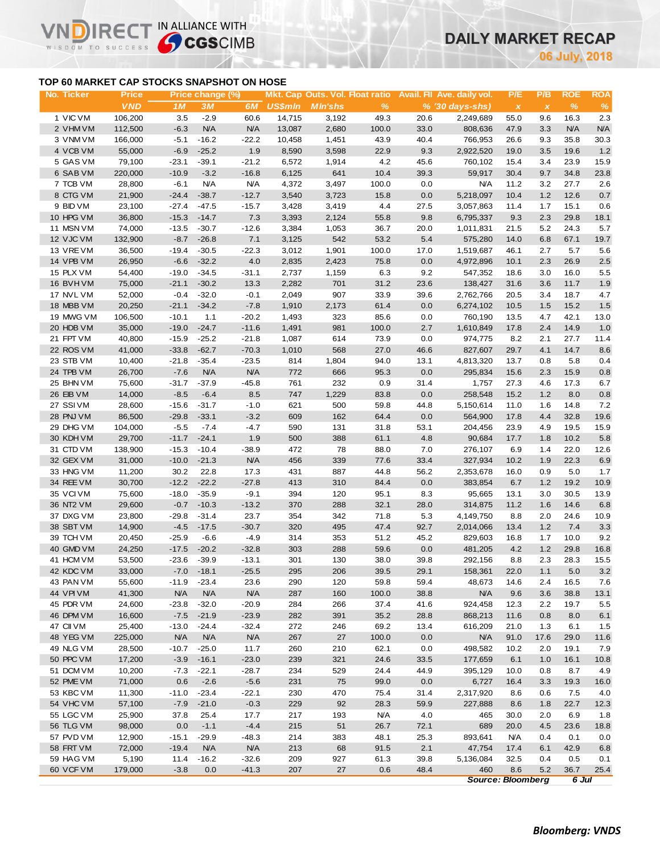# **DAILY MARKET RECAP**

**July, 2018**

## **TOP 60 MARKET CAP STOCKS SNAPSHOT ON HOSE**

IR<sub>E</sub>

WISDOM TO SUCCESS

IN ALLIANCE WITH

| No. Ticker | <b>Price</b>     |            | Price change (%) |            |                |                |               |         | Mkt. Cap Outs. Vol. Float ratio Avail. Fil Ave. daily vol. | P/E                       | P/B          | <b>ROE</b> | <b>ROA</b> |
|------------|------------------|------------|------------------|------------|----------------|----------------|---------------|---------|------------------------------------------------------------|---------------------------|--------------|------------|------------|
|            | <b>VND</b>       | 1M         | 3M               | 6M         | <b>US\$min</b> | <b>MIn'shs</b> | $\frac{9}{6}$ |         | $% (30 \, \text{days-shs})$                                | $\boldsymbol{\mathsf{x}}$ | $\pmb{\chi}$ | $\%$       | $\%$       |
| 1 VIC VM   | 106,200          | 3.5        | $-2.9$           | 60.6       | 14,715         | 3,192          | 49.3          | 20.6    | 2,249,689                                                  | 55.0                      | 9.6          | 16.3       | 2.3        |
| 2 VHM VM   | 112,500          | $-6.3$     | N/A              | <b>N/A</b> | 13,087         | 2,680          | 100.0         | 33.0    | 808,636                                                    | 47.9                      | 3.3          | N/A        | N/A        |
| 3 VNM VM   | 166,000          | $-5.1$     | $-16.2$          | $-22.2$    | 10,458         | 1,451          | 43.9          | 40.4    | 766,953                                                    | 26.6                      | 9.3          | 35.8       | 30.3       |
| 4 VCB VM   | 55,000           | $-6.9$     | $-25.2$          | 1.9        | 8,590          | 3,598          | 22.9          | 9.3     | 2,922,520                                                  | 19.0                      | 3.5          | 19.6       | 1.2        |
| 5 GAS VM   | 79,100           | $-23.1$    | $-39.1$          | $-21.2$    | 6,572          | 1,914          | 4.2           | 45.6    | 760,102                                                    | 15.4                      | 3.4          | 23.9       | 15.9       |
| 6 SAB VM   | 220,000          | $-10.9$    | $-3.2$           | $-16.8$    | 6,125          | 641            | 10.4          | 39.3    | 59,917                                                     | 30.4                      | 9.7          | 34.8       | 23.8       |
| 7 TCB VM   | 28,800           | $-6.1$     | <b>N/A</b>       | <b>N/A</b> | 4,372          | 3,497          | 100.0         | 0.0     | <b>N/A</b>                                                 | 11.2                      | 3.2          | 27.7       | 2.6        |
| 8 CTG VM   | 21,900           | $-24.4$    | $-38.7$          | $-12.7$    | 3,540          | 3,723          | 15.8          | 0.0     | 5,218,097                                                  | 10.4                      | 1.2          | 12.6       | 0.7        |
| 9 BID VM   | 23,100           | $-27.4$    | $-47.5$          | $-15.7$    | 3,428          | 3,419          | 4.4           | 27.5    | 3,057,863                                                  | 11.4                      | 1.7          | 15.1       | 0.6        |
| 10 HPG VM  | 36,800           | $-15.3$    | $-14.7$          | 7.3        | 3,393          | 2,124          | 55.8          | 9.8     | 6,795,337                                                  | 9.3                       | 2.3          | 29.8       | 18.1       |
| 11 MSN VM  | 74,000           | $-13.5$    | $-30.7$          | $-12.6$    | 3,384          | 1,053          | 36.7          | 20.0    | 1,011,831                                                  | 21.5                      | 5.2          | 24.3       | 5.7        |
| 12 VJC VM  | 132,900          | $-8.7$     | $-26.8$          | 7.1        | 3,125          | 542            | 53.2          | 5.4     | 575,280                                                    | 14.0                      | 6.8          | 67.1       | 19.7       |
| 13 VREVM   | 36,500           | $-19.4$    | $-30.5$          | $-22.3$    | 3,012          | 1,901          | 100.0         | 17.0    | 1,519,687                                                  | 46.1                      | 2.7          | 5.7        | 5.6        |
| 14 VPB VM  | 26,950           | $-6.6$     | $-32.2$          | 4.0        | 2,835          | 2,423          | 75.8          | 0.0     | 4,972,896                                                  | 10.1                      | 2.3          | 26.9       | 2.5        |
|            |                  |            |                  |            |                |                |               |         |                                                            |                           |              |            |            |
| 15 PLX VM  | 54,400           | $-19.0$    | $-34.5$          | $-31.1$    | 2,737          | 1,159          | 6.3           | 9.2     | 547,352                                                    | 18.6                      | 3.0          | 16.0       | 5.5        |
| 16 BVH VM  | 75,000           | $-21.1$    | $-30.2$          | 13.3       | 2,282          | 701            | 31.2          | 23.6    | 138,427                                                    | 31.6                      | 3.6          | 11.7       | 1.9        |
| 17 NVL VM  | 52,000           | $-0.4$     | $-32.0$          | $-0.1$     | 2,049          | 907            | 33.9          | 39.6    | 2,762,766                                                  | 20.5                      | 3.4          | 18.7       | 4.7        |
| 18 MBB VM  | 20,250           | $-21.1$    | $-34.2$          | $-7.8$     | 1,910          | 2,173          | 61.4          | 0.0     | 6,274,102                                                  | 10.5                      | 1.5          | 15.2       | $1.5$      |
| 19 MWG VM  | 106,500          | $-10.1$    | 1.1              | $-20.2$    | 1,493          | 323            | 85.6          | 0.0     | 760,190                                                    | 13.5                      | 4.7          | 42.1       | 13.0       |
| 20 HDB VM  | 35,000           | $-19.0$    | $-24.7$          | $-11.6$    | 1,491          | 981            | 100.0         | 2.7     | 1,610,849                                                  | 17.8                      | 2.4          | 14.9       | 1.0        |
| 21 FPT VM  | 40,800           | $-15.9$    | $-25.2$          | $-21.8$    | 1,087          | 614            | 73.9          | 0.0     | 974,775                                                    | 8.2                       | 2.1          | 27.7       | 11.4       |
| 22 ROS VM  | 41,000           | $-33.8$    | $-62.7$          | $-70.3$    | 1,010          | 568            | 27.0          | 46.6    | 827,607                                                    | 29.7                      | 4.1          | 14.7       | 8.6        |
| 23 STB VM  | 10,400           | $-21.8$    | $-35.4$          | $-23.5$    | 814            | 1,804          | 94.0          | 13.1    | 4,813,320                                                  | 13.7                      | 0.8          | 5.8        | 0.4        |
| 24 TPB VM  | 26,700           | $-7.6$     | <b>N/A</b>       | <b>N/A</b> | 772            | 666            | 95.3          | 0.0     | 295,834                                                    | 15.6                      | 2.3          | 15.9       | $0.8\,$    |
| 25 BHN VM  | 75,600           | $-31.7$    | $-37.9$          | $-45.8$    | 761            | 232            | 0.9           | 31.4    | 1,757                                                      | 27.3                      | 4.6          | 17.3       | 6.7        |
| 26 EIB VM  | 14,000           | $-8.5$     | $-6.4$           | 8.5        | 747            | 1,229          | 83.8          | 0.0     | 258,548                                                    | 15.2                      | 1.2          | 8.0        | 0.8        |
| 27 SSIVM   | 28,600           | $-15.6$    | $-31.7$          | $-1.0$     | 621            | 500            | 59.8          | 44.8    | 5,150,614                                                  | 11.0                      | 1.6          | 14.8       | 7.2        |
| 28 PNJ VM  | 86,500           | $-29.8$    | $-33.1$          | $-3.2$     | 609            | 162            | 64.4          | 0.0     | 564,900                                                    | 17.8                      | 4.4          | 32.8       | 19.6       |
| 29 DHG VM  | 104,000          | $-5.5$     | $-7.4$           | $-4.7$     | 590            | 131            | 31.8          | 53.1    | 204,456                                                    | 23.9                      | 4.9          | 19.5       | 15.9       |
| 30 KDH VM  | 29,700           | $-11.7$    | $-24.1$          | 1.9        | 500            | 388            | 61.1          | 4.8     | 90,684                                                     | 17.7                      | 1.8          | 10.2       | 5.8        |
| 31 CTD VM  | 138,900          | $-15.3$    | $-10.4$          | $-38.9$    | 472            | 78             | 88.0          | 7.0     | 276,107                                                    | 6.9                       | 1.4          | 22.0       | 12.6       |
| 32 GEX VM  | 31,000           | $-10.0$    | $-21.3$          | <b>N/A</b> | 456            | 339            | 77.6          | 33.4    | 327,934                                                    | 10.2                      | 1.9          | 22.3       | 6.9        |
| 33 HNG VM  | 11,200           | 30.2       | 22.8             | 17.3       | 431            | 887            | 44.8          | 56.2    | 2,353,678                                                  | 16.0                      | 0.9          | 5.0        | 1.7        |
| 34 REE VM  | 30,700           | $-12.2$    | $-22.2$          | $-27.8$    | 413            | 310            | 84.4          | 0.0     | 383,854                                                    | 6.7                       | 1.2          | 19.2       | 10.9       |
| 35 VCIVM   | 75,600           | $-18.0$    | $-35.9$          | $-9.1$     | 394            | 120            | 95.1          | 8.3     | 95,665                                                     | 13.1                      | 3.0          | 30.5       | 13.9       |
| 36 NT2 VM  | 29,600           | $-0.7$     | $-10.3$          | $-13.2$    | 370            | 288            | 32.1          | 28.0    | 314,875                                                    | 11.2                      | 1.6          | 14.6       | 6.8        |
| 37 DXG VM  | 23,800           | $-29.8$    | $-31.4$          | 23.7       | 354            | 342            | 71.8          | 5.3     | 4,149,750                                                  | 8.8                       | 2.0          | 24.6       | 10.9       |
| 38 SBT VM  | 14,900           | $-4.5$     | $-17.5$          | $-30.7$    | 320            | 495            | 47.4          | 92.7    | 2,014,066                                                  | 13.4                      | 1.2          | 7.4        | 3.3        |
| 39 TCH VM  | 20,450           | $-25.9$    | $-6.6$           | $-4.9$     | 314            | 353            | 51.2          | 45.2    | 829,603                                                    | 16.8                      | 1.7          | 10.0       | 9.2        |
| 40 GMD VM  | 24,250           | $-17.5$    | $-20.2$          | $-32.8$    | 303            | 288            | 59.6          | $0.0\,$ | 481,205                                                    | 4.2                       | 1.2          | 29.8       | 16.8       |
| 41 HCM VM  | 53,500           | $-23.6$    | $-39.9$          | $-13.1$    | 301            | 130            | 38.0          | 39.8    | 292,156                                                    | 8.8                       | 2.3          | 28.3       | 15.5       |
| 42 KDC VM  |                  |            | $-7.0 -18.1$     | $-25.5$    | 295            | 206            | 39.5          | 29.1    |                                                            | 22.0                      | 1.1          | 5.0        | 3.2        |
|            | 33,000<br>55,600 |            |                  |            |                |                |               |         | 158,361                                                    |                           |              |            |            |
| 43 PAN VM  |                  | $-11.9$    | $-23.4$          | 23.6       | 290            | 120            | 59.8          | 59.4    | 48,673<br><b>N/A</b>                                       | 14.6                      | 2.4          | 16.5       | 7.6        |
| 44 VPI VM  | 41,300           | <b>N/A</b> | <b>N/A</b>       | <b>N/A</b> | 287            | 160            | 100.0         | 38.8    |                                                            | 9.6                       | 3.6          | 38.8       | 13.1       |
| 45 PDR VM  | 24,600           | $-23.8$    | $-32.0$          | $-20.9$    | 284            | 266            | 37.4          | 41.6    | 924,458                                                    | 12.3                      | 2.2          | 19.7       | 5.5        |
| 46 DPM VM  | 16,600           | $-7.5$     | $-21.9$          | $-23.9$    | 282            | 391            | 35.2          | 28.8    | 868,213                                                    | 11.6                      | 0.8          | 8.0        | 6.1        |
| 47 CII VM  | 25,400           | $-13.0$    | $-24.4$          | $-32.4$    | 272            | 246            | 69.2          | 13.4    | 616,209                                                    | 21.0                      | 1.3          | 6.1        | 1.5        |
| 48 YEG VM  | 225,000          | <b>N/A</b> | N/A              | <b>N/A</b> | 267            | 27             | 100.0         | 0.0     | <b>N/A</b>                                                 | 91.0                      | 17.6         | 29.0       | 11.6       |
| 49 NLG VM  | 28,500           | $-10.7$    | $-25.0$          | 11.7       | 260            | 210            | 62.1          | 0.0     | 498,582                                                    | 10.2                      | 2.0          | 19.1       | 7.9        |
| 50 PPC VM  | 17,200           | $-3.9$     | $-16.1$          | $-23.0$    | 239            | 321            | 24.6          | 33.5    | 177,659                                                    | 6.1                       | 1.0          | 16.1       | 10.8       |
| 51 DCM VM  | 10,200           | $-7.3$     | $-22.1$          | $-28.7$    | 234            | 529            | 24.4          | 44.9    | 395,129                                                    | 10.0                      | 0.8          | 8.7        | 4.9        |
| 52 PME VM  | 71,000           | 0.6        | $-2.6$           | $-5.6$     | 231            | 75             | 99.0          | 0.0     | 6,727                                                      | 16.4                      | 3.3          | 19.3       | 16.0       |
| 53 KBC VM  | 11,300           | $-11.0$    | $-23.4$          | $-22.1$    | 230            | 470            | 75.4          | 31.4    | 2,317,920                                                  | 8.6                       | 0.6          | 7.5        | 4.0        |
| 54 VHC VM  | 57,100           | $-7.9$     | $-21.0$          | $-0.3$     | 229            | 92             | 28.3          | 59.9    | 227,888                                                    | 8.6                       | 1.8          | 22.7       | 12.3       |
| 55 LGC VM  | 25,900           | 37.8       | 25.4             | 17.7       | 217            | 193            | <b>N/A</b>    | 4.0     | 465                                                        | 30.0                      | 2.0          | 6.9        | 1.8        |
| 56 TLG VM  | 98,000           | 0.0        | $-1.1$           | $-4.4$     | 215            | 51             | 26.7          | 72.1    | 689                                                        | 20.0                      | 4.5          | 23.6       | 18.8       |
| 57 PVD VM  | 12,900           | $-15.1$    | $-29.9$          | $-48.3$    | 214            | 383            | 48.1          | 25.3    | 893,641                                                    | <b>N/A</b>                | 0.4          | 0.1        | 0.0        |
| 58 FRT VM  | 72,000           | $-19.4$    | <b>N/A</b>       | <b>N/A</b> | 213            | 68             | 91.5          | 2.1     | 47,754                                                     | 17.4                      | 6.1          | 42.9       | 6.8        |
| 59 HAG VM  | 5,190            | 11.4       | $-16.2$          | $-32.6$    | 209            | 927            | 61.3          | 39.8    | 5,136,084                                                  | 32.5                      | 0.4          | 0.5        | 0.1        |
| 60 VCF VM  | 179,000          | $-3.8$     | 0.0              | $-41.3$    | 207            | 27             | 0.6           | 48.4    | 460                                                        | 8.6                       | 5.2          | 36.7       | 25.4       |
|            |                  |            |                  |            |                |                |               |         | <b>Source: Bloomberg</b>                                   |                           |              | 6 Jul      |            |